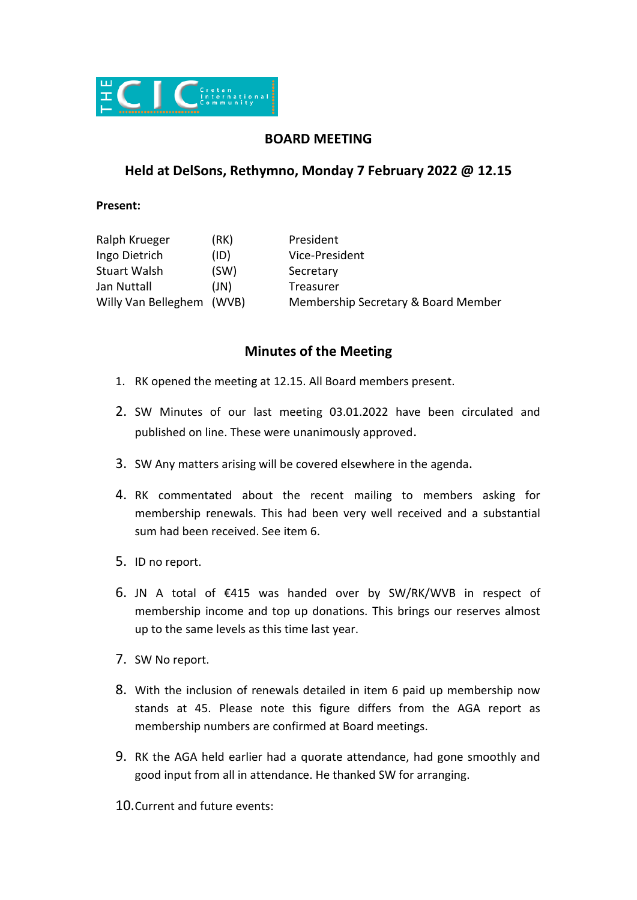

## **BOARD MEETING**

## **Held at DelSons, Rethymno, Monday 7 February 2022 @ 12.15**

**Present:**

| Ralph Krueger       | (RK)  | President                           |
|---------------------|-------|-------------------------------------|
| Ingo Dietrich       | (ID)  | Vice-President                      |
| <b>Stuart Walsh</b> | (SW)  | Secretary                           |
| Jan Nuttall         | (JN)  | Treasurer                           |
| Willy Van Belleghem | (WVB) | Membership Secretary & Board Member |

## **Minutes of the Meeting**

- 1. RK opened the meeting at 12.15. All Board members present.
- 2. SW Minutes of our last meeting 03.01.2022 have been circulated and published on line. These were unanimously approved.
- 3. SW Any matters arising will be covered elsewhere in the agenda.
- 4. RK commentated about the recent mailing to members asking for membership renewals. This had been very well received and a substantial sum had been received. See item 6.
- 5. ID no report.
- 6. JN A total of €415 was handed over by SW/RK/WVB in respect of membership income and top up donations. This brings our reserves almost up to the same levels as this time last year.
- 7. SW No report.
- 8. With the inclusion of renewals detailed in item 6 paid up membership now stands at 45. Please note this figure differs from the AGA report as membership numbers are confirmed at Board meetings.
- 9. RK the AGA held earlier had a quorate attendance, had gone smoothly and good input from all in attendance. He thanked SW for arranging.
- 10.Current and future events: